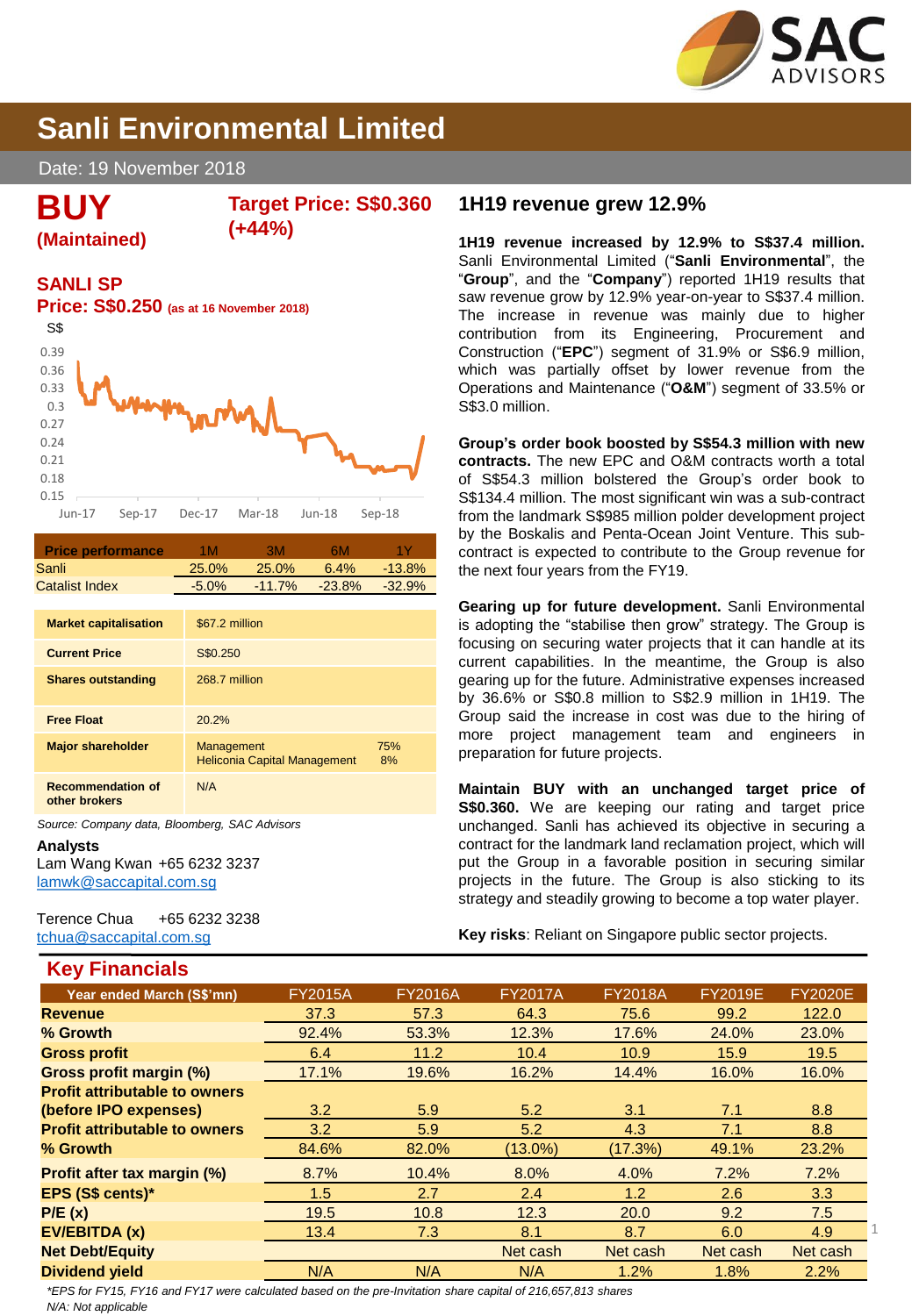

# **Sanli Environmental Limited**

Date: 19 November 2018

**BUY**

#### **Target Price: S\$0.360 (+44%)**

### **SANLI SP**

**(Maintained)**



| <b>Price performance</b> | 1M       | зм        | 6М        | 1 Y      |
|--------------------------|----------|-----------|-----------|----------|
| Sanli                    | 25.0%    | 25.0%     | $6.4\%$   | $-13.8%$ |
| Catalist Index           | $-5.0\%$ | $-11.7\%$ | $-23.8\%$ | $-32.9%$ |
|                          |          |           |           |          |

| <b>Market capitalisation</b>              | \$67.2 million                                    |           |
|-------------------------------------------|---------------------------------------------------|-----------|
| <b>Current Price</b>                      | S\$0.250                                          |           |
| <b>Shares outstanding</b>                 | 268.7 million                                     |           |
| <b>Free Float</b>                         | 20.2%                                             |           |
| <b>Major shareholder</b>                  | Management<br><b>Heliconia Capital Management</b> | 75%<br>8% |
| <b>Recommendation of</b><br>other brokers | N/A                                               |           |

*Source: Company data, Bloomberg, SAC Advisors*

**Analysts** Lam Wang Kwan +65 6232 3237

**Key Financials**

[lamwk@saccapital.com.sg](mailto:lamwk@saccapital.com.sg)

Terence Chua +65 6232 3238 [tchua@saccapital.com.sg](mailto:tchua@saccapital.com.sg)

# **1H19 revenue grew 12.9%**

**1H19 revenue increased by 12.9% to S\$37.4 million.** Sanli Environmental Limited ("**Sanli Environmental**", the "**Group**", and the "**Company**") reported 1H19 results that saw revenue grow by 12.9% year-on-year to S\$37.4 million. The increase in revenue was mainly due to higher contribution from its Engineering, Procurement and Construction ("**EPC**") segment of 31.9% or S\$6.9 million, which was partially offset by lower revenue from the Operations and Maintenance ("**O&M**") segment of 33.5% or S\$3.0 million.

**Group's order book boosted by S\$54.3 million with new contracts.** The new EPC and O&M contracts worth a total of S\$54.3 million bolstered the Group's order book to S\$134.4 million. The most significant win was a sub-contract from the landmark S\$985 million polder development project by the Boskalis and Penta-Ocean Joint Venture. This subcontract is expected to contribute to the Group revenue for the next four years from the FY19.

**Gearing up for future development.** Sanli Environmental is adopting the "stabilise then grow" strategy. The Group is focusing on securing water projects that it can handle at its current capabilities. In the meantime, the Group is also gearing up for the future. Administrative expenses increased by 36.6% or S\$0.8 million to S\$2.9 million in 1H19. The Group said the increase in cost was due to the hiring of more project management team and engineers in preparation for future projects.

**Maintain BUY with an unchanged target price of S\$0.360.** We are keeping our rating and target price unchanged. Sanli has achieved its objective in securing a contract for the landmark land reclamation project, which will put the Group in a favorable position in securing similar projects in the future. The Group is also sticking to its strategy and steadily growing to become a top water player.

**Key risks**: Reliant on Singapore public sector projects.

| <b>IN'T LUIGHVIGHT</b>               |                |                |                |                |                |                |
|--------------------------------------|----------------|----------------|----------------|----------------|----------------|----------------|
| Year ended March (S\$'mn)            | <b>FY2015A</b> | <b>FY2016A</b> | <b>FY2017A</b> | <b>FY2018A</b> | <b>FY2019E</b> | <b>FY2020E</b> |
| <b>Revenue</b>                       | 37.3           | 57.3           | 64.3           | 75.6           | 99.2           | 122.0          |
| % Growth                             | 92.4%          | 53.3%          | 12.3%          | 17.6%          | 24.0%          | 23.0%          |
| <b>Gross profit</b>                  | 6.4            | 11.2           | 10.4           | 10.9           | 15.9           | 19.5           |
| Gross profit margin (%)              | 17.1%          | 19.6%          | 16.2%          | 14.4%          | 16.0%          | 16.0%          |
| <b>Profit attributable to owners</b> |                |                |                |                |                |                |
| (before IPO expenses)                | 3.2            | 5.9            | 5.2            | 3.1            | 7.1            | 8.8            |
| <b>Profit attributable to owners</b> | 3.2            | 5.9            | 5.2            | 4.3            | 7.1            | 8.8            |
| % Growth                             | 84.6%          | 82.0%          | $(13.0\%)$     | (17.3%)        | 49.1%          | 23.2%          |
| Profit after tax margin (%)          | 8.7%           | 10.4%          | 8.0%           | 4.0%           | 7.2%           | 7.2%           |
| EPS (S\$ cents)*                     | 1.5            | 2.7            | 2.4            | 1.2            | 2.6            | 3.3            |
| P/E(x)                               | 19.5           | 10.8           | 12.3           | 20.0           | 9.2            | 7.5            |
| EV/EBITDA (x)                        | 13.4           | 7.3            | 8.1            | 8.7            | 6.0            | 4.9            |
| <b>Net Debt/Equity</b>               |                |                | Net cash       | Net cash       | Net cash       | Net cash       |
| <b>Dividend yield</b>                | N/A            | N/A            | N/A            | 1.2%           | 1.8%           | 2.2%           |
|                                      |                |                |                |                |                |                |

*N/A: Not applicable \*EPS for FY15, FY16 and FY17 were calculated based on the pre-Invitation share capital of 216,657,813 shares*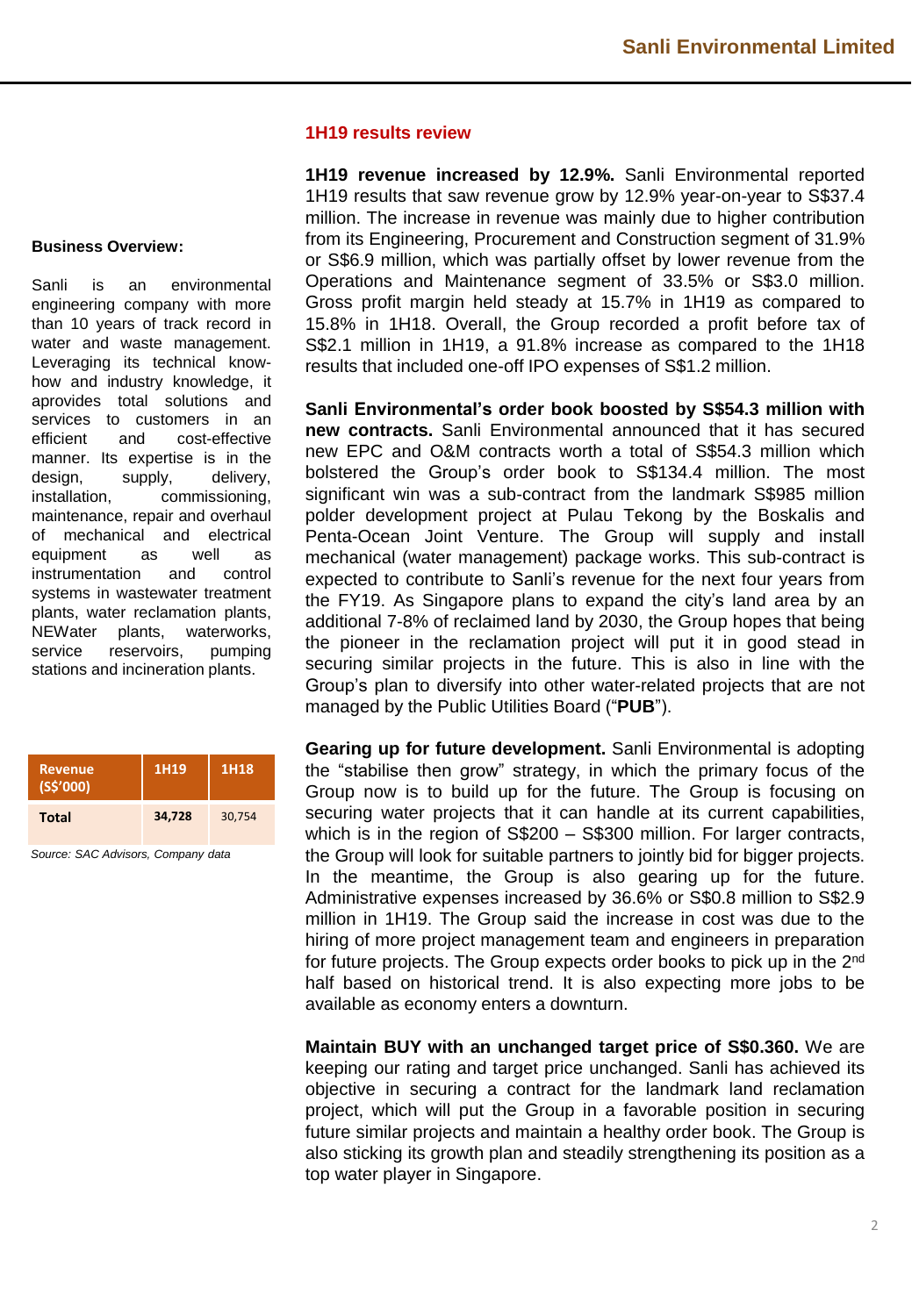#### **1H19 results review**

**1H19 revenue increased by 12.9%.** Sanli Environmental reported 1H19 results that saw revenue grow by 12.9% year-on-year to S\$37.4 million. The increase in revenue was mainly due to higher contribution from its Engineering, Procurement and Construction segment of 31.9% or S\$6.9 million, which was partially offset by lower revenue from the Operations and Maintenance segment of 33.5% or S\$3.0 million. Gross profit margin held steady at 15.7% in 1H19 as compared to 15.8% in 1H18. Overall, the Group recorded a profit before tax of S\$2.1 million in 1H19, a 91.8% increase as compared to the 1H18 results that included one-off IPO expenses of S\$1.2 million.

**Sanli Environmental's order book boosted by S\$54.3 million with new contracts.** Sanli Environmental announced that it has secured new EPC and O&M contracts worth a total of S\$54.3 million which bolstered the Group's order book to S\$134.4 million. The most significant win was a sub-contract from the landmark S\$985 million polder development project at Pulau Tekong by the Boskalis and Penta-Ocean Joint Venture. The Group will supply and install mechanical (water management) package works. This sub-contract is expected to contribute to Sanli's revenue for the next four years from the FY19. As Singapore plans to expand the city's land area by an additional 7-8% of reclaimed land by 2030, the Group hopes that being the pioneer in the reclamation project will put it in good stead in securing similar projects in the future. This is also in line with the Group's plan to diversify into other water-related projects that are not managed by the Public Utilities Board ("**PUB**").

**Gearing up for future development.** Sanli Environmental is adopting the "stabilise then grow" strategy, in which the primary focus of the Group now is to build up for the future. The Group is focusing on securing water projects that it can handle at its current capabilities, which is in the region of S\$200 – S\$300 million. For larger contracts, the Group will look for suitable partners to jointly bid for bigger projects. In the meantime, the Group is also gearing up for the future. Administrative expenses increased by 36.6% or S\$0.8 million to S\$2.9 million in 1H19. The Group said the increase in cost was due to the hiring of more project management team and engineers in preparation for future projects. The Group expects order books to pick up in the 2<sup>nd</sup> half based on historical trend. It is also expecting more jobs to be available as economy enters a downturn.

**Maintain BUY with an unchanged target price of S\$0.360.** We are keeping our rating and target price unchanged. Sanli has achieved its objective in securing a contract for the landmark land reclamation project, which will put the Group in a favorable position in securing future similar projects and maintain a healthy order book. The Group is also sticking its growth plan and steadily strengthening its position as a top water player in Singapore.

#### **Business Overview:**

Sanli is an environmental engineering company with more than 10 years of track record in water and waste management. Leveraging its technical knowhow and industry knowledge, it aprovides total solutions and services to customers in an efficient and cost-effective manner. Its expertise is in the design, supply, delivery, installation, commissioning, maintenance, repair and overhaul of mechanical and electrical equipment as well as instrumentation and control systems in wastewater treatment plants, water reclamation plants, NEWater plants, waterworks, service reservoirs, pumping stations and incineration plants.

| <b>Revenue</b><br>(S5'000) | 1H19   | 1H18   |
|----------------------------|--------|--------|
| <b>Total</b>               | 34,728 | 30,754 |

*Source: SAC Advisors, Company data*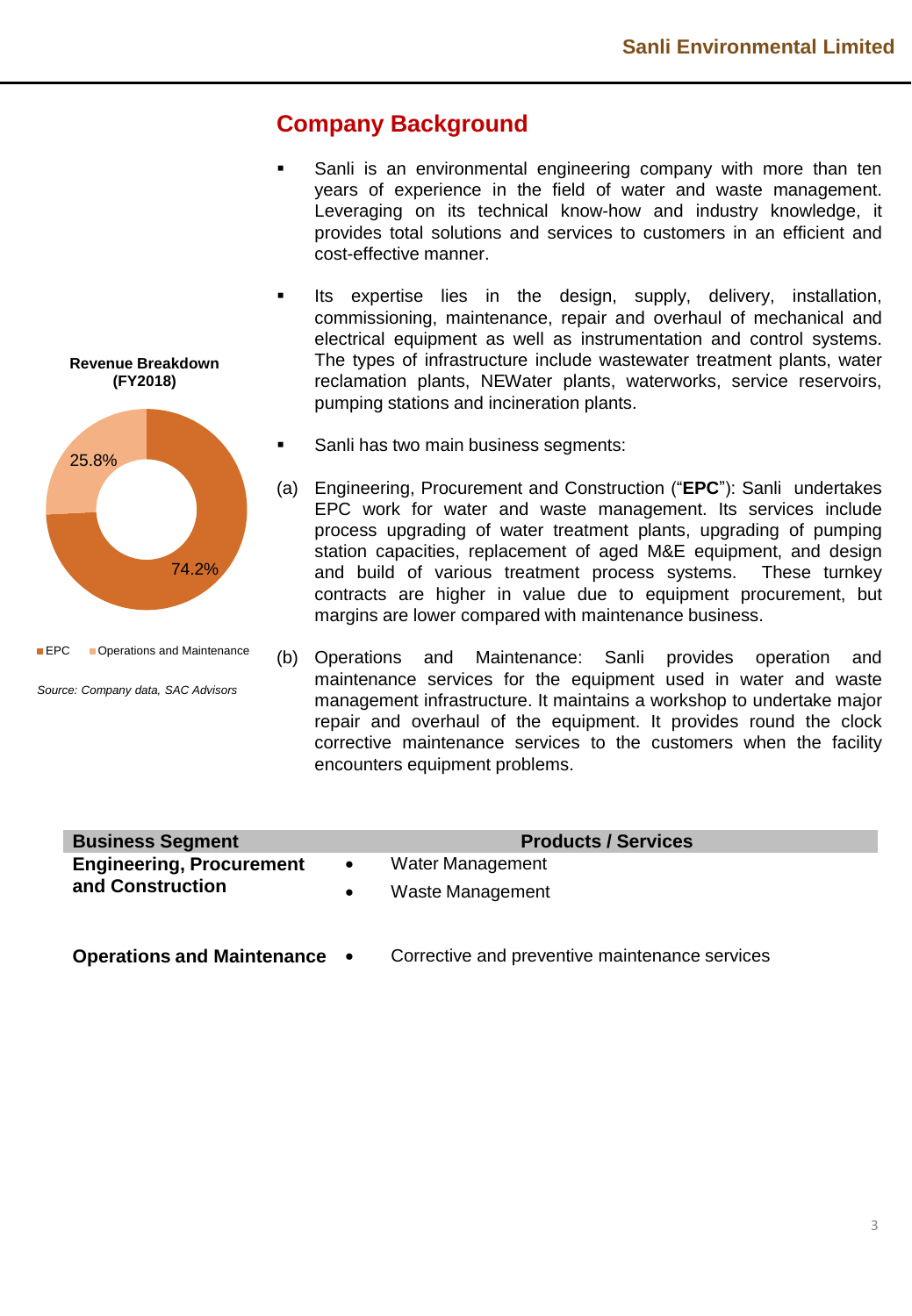## **Company Background**

- Sanli is an environmental engineering company with more than ten years of experience in the field of water and waste management. Leveraging on its technical know-how and industry knowledge, it provides total solutions and services to customers in an efficient and cost-effective manner.
- **■** Its expertise lies in the design, supply, delivery, installation, commissioning, maintenance, repair and overhaul of mechanical and electrical equipment as well as instrumentation and control systems. The types of infrastructure include wastewater treatment plants, water reclamation plants, NEWater plants, waterworks, service reservoirs, pumping stations and incineration plants.
- Sanli has two main business segments:
- (a) Engineering, Procurement and Construction ("**EPC**"): Sanli undertakes EPC work for water and waste management. Its services include process upgrading of water treatment plants, upgrading of pumping station capacities, replacement of aged M&E equipment, and design and build of various treatment process systems. These turnkey contracts are higher in value due to equipment procurement, but margins are lower compared with maintenance business.
- (b) Operations and Maintenance: Sanli provides operation and maintenance services for the equipment used in water and waste management infrastructure. It maintains a workshop to undertake major repair and overhaul of the equipment. It provides round the clock corrective maintenance services to the customers when the facility encounters equipment problems.

| <b>Business Segment</b>         |           | <b>Products / Services</b> |
|---------------------------------|-----------|----------------------------|
| <b>Engineering, Procurement</b> | $\bullet$ | Water Management           |
| and Construction                |           | Waste Management           |
|                                 |           |                            |

**Operations and Maintenance** • Corrective and preventive maintenance services

**Revenue Breakdown (FY2018)**

25.8%

**EPC Operations and Maintenance** 

*Source: Company data, SAC Advisors*

74.2%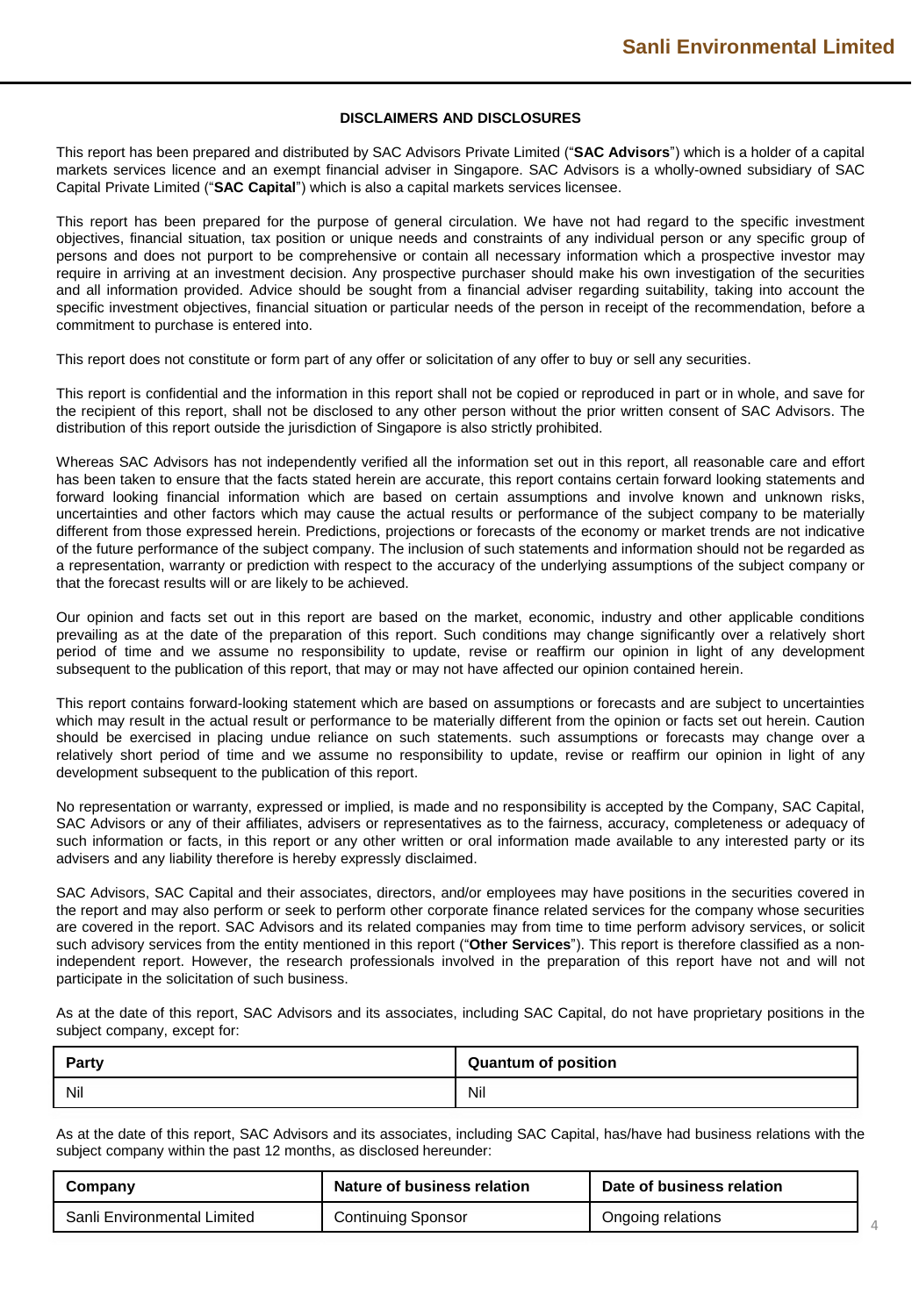#### **DISCLAIMERS AND DISCLOSURES**

This report has been prepared and distributed by SAC Advisors Private Limited ("**SAC Advisors**") which is a holder of a capital markets services licence and an exempt financial adviser in Singapore. SAC Advisors is a wholly-owned subsidiary of SAC Capital Private Limited ("**SAC Capital**") which is also a capital markets services licensee.

This report has been prepared for the purpose of general circulation. We have not had regard to the specific investment objectives, financial situation, tax position or unique needs and constraints of any individual person or any specific group of persons and does not purport to be comprehensive or contain all necessary information which a prospective investor may require in arriving at an investment decision. Any prospective purchaser should make his own investigation of the securities and all information provided. Advice should be sought from a financial adviser regarding suitability, taking into account the specific investment objectives, financial situation or particular needs of the person in receipt of the recommendation, before a commitment to purchase is entered into.

This report does not constitute or form part of any offer or solicitation of any offer to buy or sell any securities.

This report is confidential and the information in this report shall not be copied or reproduced in part or in whole, and save for the recipient of this report, shall not be disclosed to any other person without the prior written consent of SAC Advisors. The distribution of this report outside the jurisdiction of Singapore is also strictly prohibited.

Whereas SAC Advisors has not independently verified all the information set out in this report, all reasonable care and effort has been taken to ensure that the facts stated herein are accurate, this report contains certain forward looking statements and forward looking financial information which are based on certain assumptions and involve known and unknown risks, uncertainties and other factors which may cause the actual results or performance of the subject company to be materially different from those expressed herein. Predictions, projections or forecasts of the economy or market trends are not indicative of the future performance of the subject company. The inclusion of such statements and information should not be regarded as a representation, warranty or prediction with respect to the accuracy of the underlying assumptions of the subject company or that the forecast results will or are likely to be achieved.

Our opinion and facts set out in this report are based on the market, economic, industry and other applicable conditions prevailing as at the date of the preparation of this report. Such conditions may change significantly over a relatively short period of time and we assume no responsibility to update, revise or reaffirm our opinion in light of any development subsequent to the publication of this report, that may or may not have affected our opinion contained herein.

This report contains forward-looking statement which are based on assumptions or forecasts and are subject to uncertainties which may result in the actual result or performance to be materially different from the opinion or facts set out herein. Caution should be exercised in placing undue reliance on such statements. such assumptions or forecasts may change over a relatively short period of time and we assume no responsibility to update, revise or reaffirm our opinion in light of any development subsequent to the publication of this report.

No representation or warranty, expressed or implied, is made and no responsibility is accepted by the Company, SAC Capital, SAC Advisors or any of their affiliates, advisers or representatives as to the fairness, accuracy, completeness or adequacy of such information or facts, in this report or any other written or oral information made available to any interested party or its advisers and any liability therefore is hereby expressly disclaimed.

SAC Advisors, SAC Capital and their associates, directors, and/or employees may have positions in the securities covered in the report and may also perform or seek to perform other corporate finance related services for the company whose securities are covered in the report. SAC Advisors and its related companies may from time to time perform advisory services, or solicit such advisory services from the entity mentioned in this report ("**Other Services**"). This report is therefore classified as a nonindependent report. However, the research professionals involved in the preparation of this report have not and will not participate in the solicitation of such business.

As at the date of this report, SAC Advisors and its associates, including SAC Capital, do not have proprietary positions in the subject company, except for:

| Party | <b>Quantum of position</b> |
|-------|----------------------------|
| Nil   | Nil                        |

As at the date of this report, SAC Advisors and its associates, including SAC Capital, has/have had business relations with the subject company within the past 12 months, as disclosed hereunder:

| Company                     | Nature of business relation | Date of business relation |
|-----------------------------|-----------------------------|---------------------------|
| Sanli Environmental Limited | Continuing Sponsor          | Ongoing relations         |